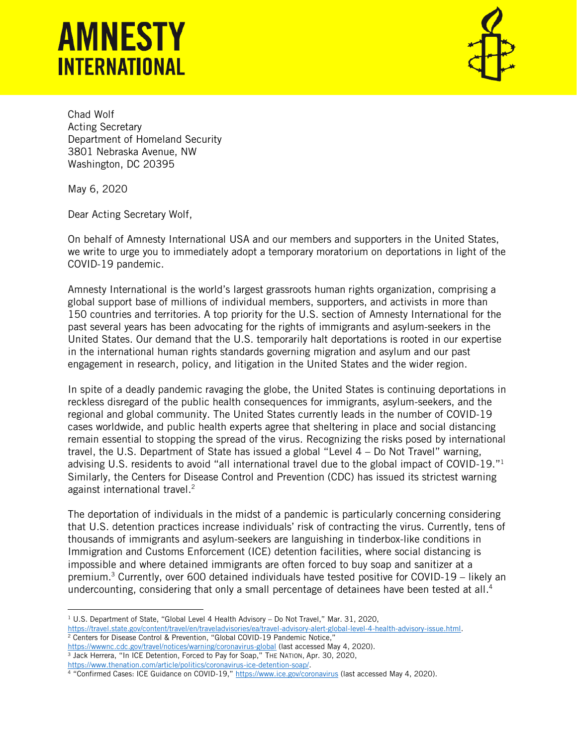## **AMNESTY INTERNATIONAL**



Chad Wolf Acting Secretary Department of Homeland Security 3801 Nebraska Avenue, NW Washington, DC 20395

May 6, 2020

Dear Acting Secretary Wolf,

On behalf of Amnesty International USA and our members and supporters in the United States, we write to urge you to immediately adopt a temporary moratorium on deportations in light of the COVID-19 pandemic.

Amnesty International is the world's largest grassroots human rights organization, comprising a global support base of millions of individual members, supporters, and activists in more than 150 countries and territories. A top priority for the U.S. section of Amnesty International for the past several years has been advocating for the rights of immigrants and asylum-seekers in the United States. Our demand that the U.S. temporarily halt deportations is rooted in our expertise in the international human rights standards governing migration and asylum and our past engagement in research, policy, and litigation in the United States and the wider region.

In spite of a deadly pandemic ravaging the globe, the United States is continuing deportations in reckless disregard of the public health consequences for immigrants, asylum-seekers, and the regional and global community. The United States currently leads in the number of COVID-19 cases worldwide, and public health experts agree that sheltering in place and social distancing remain essential to stopping the spread of the virus. Recognizing the risks posed by international travel, the U.S. Department of State has issued a global "Level 4 – Do Not Travel" warning, advising U.S. residents to avoid "all international travel due to the global impact of COVID-19."<sup>1</sup> Similarly, the Centers for Disease Control and Prevention (CDC) has issued its strictest warning against international travel.<sup>2</sup>

The deportation of individuals in the midst of a pandemic is particularly concerning considering that U.S. detention practices increase individuals' risk of contracting the virus. Currently, tens of thousands of immigrants and asylum-seekers are languishing in tinderbox-like conditions in Immigration and Customs Enforcement (ICE) detention facilities, where social distancing is impossible and where detained immigrants are often forced to buy soap and sanitizer at a premium. <sup>3</sup> Currently, over 600 detained individuals have tested positive for COVID-19 – likely an undercounting, considering that only a small percentage of detainees have been tested at all.<sup>4</sup>

<sup>&</sup>lt;sup>1</sup> U.S. Department of State, "Global Level 4 Health Advisory – Do Not Travel," Mar. 31, 2020, [https://travel.state.gov/content/travel/en/traveladvisories/ea/travel-advisory-alert-global-level-4-health-advisory-issue.html.](https://travel.state.gov/content/travel/en/traveladvisories/ea/travel-advisory-alert-global-level-4-health-advisory-issue.html) <sup>2</sup> Centers for Disease Control & Prevention, "Global COVID-19 Pandemic Notice,"

<https://wwwnc.cdc.gov/travel/notices/warning/coronavirus-global> (last accessed May 4, 2020).

<sup>&</sup>lt;sup>3</sup> Jack Herrera, "In ICE Detention, Forced to Pay for Soap," THE NATION, Apr. 30, 2020, [https://www.thenation.com/article/politics/coronavirus-ice-detention-soap/.](https://www.thenation.com/article/politics/coronavirus-ice-detention-soap/)

<sup>4 &</sup>quot;Confirmed Cases: ICE Guidance on COVID-19," <https://www.ice.gov/coronavirus> (last accessed May 4, 2020).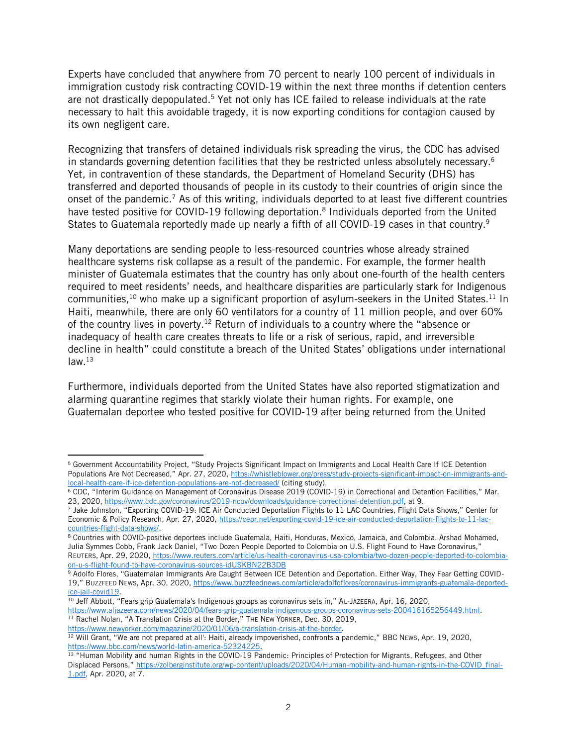Experts have concluded that anywhere from 70 percent to nearly 100 percent of individuals in immigration custody risk contracting COVID-19 within the next three months if detention centers are not drastically depopulated.<sup>5</sup> Yet not only has ICE failed to release individuals at the rate necessary to halt this avoidable tragedy, it is now exporting conditions for contagion caused by its own negligent care.

Recognizing that transfers of detained individuals risk spreading the virus, the CDC has advised in standards governing detention facilities that they be restricted unless absolutely necessary. 6 Yet, in contravention of these standards, the Department of Homeland Security (DHS) has transferred and deported thousands of people in its custody to their countries of origin since the onset of the pandemic.<sup>7</sup> As of this writing, individuals deported to at least five different countries have tested positive for COVID-19 following deportation.<sup>8</sup> Individuals deported from the United States to Guatemala reportedly made up nearly a fifth of all COVID-19 cases in that country.<sup>9</sup>

Many deportations are sending people to less-resourced countries whose already strained healthcare systems risk collapse as a result of the pandemic. For example, the former health minister of Guatemala estimates that the country has only about one-fourth of the health centers required to meet residents' needs, and healthcare disparities are particularly stark for Indigenous communities,  $^{10}$  who make up a significant proportion of asylum-seekers in the United States.  $^{11}$  In Haiti, meanwhile, there are only 60 ventilators for a country of 11 million people, and over 60% of the country lives in poverty.<sup>12</sup> Return of individuals to a country where the "absence or inadequacy of health care creates threats to life or a risk of serious, rapid, and irreversible decline in health" could constitute a breach of the United States' obligations under international  $law.<sup>13</sup>$ 

Furthermore, individuals deported from the United States have also reported stigmatization and alarming quarantine regimes that starkly violate their human rights. For example, one Guatemalan deportee who tested positive for COVID-19 after being returned from the United

8 Countries with COVID-positive deportees include Guatemala, Haiti, Honduras, Mexico, Jamaica, and Colombia. Arshad Mohamed, Julia Symmes Cobb, Frank Jack Daniel, "Two Dozen People Deported to Colombia on U.S. Flight Found to Have Coronavirus," REUTERS, Apr. 29, 2020, [https://www.reuters.com/article/us-health-coronavirus-usa-colombia/two-dozen-people-deported-to-colombia](https://www.reuters.com/article/us-health-coronavirus-usa-colombia/two-dozen-people-deported-to-colombia-on-u-s-flight-found-to-have-coronavirus-sources-idUSKBN22B3DB)[on-u-s-flight-found-to-have-coronavirus-sources-idUSKBN22B3DB](https://www.reuters.com/article/us-health-coronavirus-usa-colombia/two-dozen-people-deported-to-colombia-on-u-s-flight-found-to-have-coronavirus-sources-idUSKBN22B3DB)

<sup>10</sup> Jeff Abbott, "Fears grip Guatemala's Indigenous groups as coronavirus sets in," AL-JAZEERA, Apr. 16, 2020, [https://www.aljazeera.com/news/2020/04/fears-grip-guatemala-indigenous-groups-coronavirus-sets-200416165256449.html.](https://www.aljazeera.com/news/2020/04/fears-grip-guatemala-indigenous-groups-coronavirus-sets-200416165256449.html)  <sup>11</sup> Rachel Nolan, "A Translation Crisis at the Border," THE NEW YORKER, Dec. 30, 2019, [https://www.newyorker.com/magazine/2020/01/06/a-translation-crisis-at-the-border.](https://www.newyorker.com/magazine/2020/01/06/a-translation-crisis-at-the-border) 

<sup>5</sup> Government Accountability Project, "Study Projects Significant Impact on Immigrants and Local Health Care If ICE Detention Populations Are Not Decreased," Apr. 27, 2020, [https://whistleblower.org/press/study-projects-significant-impact-on-immigrants-and](https://whistleblower.org/press/study-projects-significant-impact-on-immigrants-and-local-health-care-if-ice-detention-populations-are-not-decreased/)[local-health-care-if-ice-detention-populations-are-not-decreased/](https://whistleblower.org/press/study-projects-significant-impact-on-immigrants-and-local-health-care-if-ice-detention-populations-are-not-decreased/) (citing study).

<sup>6</sup> CDC, "Interim Guidance on Management of Coronavirus Disease 2019 (COVID-19) in Correctional and Detention Facilities," Mar. 23, 2020, [https://www.cdc.gov/coronavirus/2019-ncov/downloads/guidance-correctional-detention.pdf,](https://www.cdc.gov/coronavirus/2019-ncov/downloads/guidance-correctional-detention.pdf) at 9.

<sup>7</sup> Jake Johnston, "Exporting COVID-19: ICE Air Conducted Deportation Flights to 11 LAC Countries, Flight Data Shows," Center for Economic & Policy Research, Apr. 27, 2020[, https://cepr.net/exporting-covid-19-ice-air-conducted-deportation-flights-to-11-lac](https://cepr.net/exporting-covid-19-ice-air-conducted-deportation-flights-to-11-lac-countries-flight-data-shows/)[countries-flight-data-shows/.](https://cepr.net/exporting-covid-19-ice-air-conducted-deportation-flights-to-11-lac-countries-flight-data-shows/)

<sup>9</sup> Adolfo Flores, "Guatemalan Immigrants Are Caught Between ICE Detention and Deportation. Either Way, They Fear Getting COVID-19," BUZZFEED NEWS, Apr. 30, 2020, [https://www.buzzfeednews.com/article/adolfoflores/coronavirus-immigrants-guatemala-deported](https://www.buzzfeednews.com/article/adolfoflores/coronavirus-immigrants-guatemala-deported-ice-jail-covid19)[ice-jail-covid19.](https://www.buzzfeednews.com/article/adolfoflores/coronavirus-immigrants-guatemala-deported-ice-jail-covid19)

<sup>&</sup>lt;sup>12</sup> Will Grant, "We are not prepared at all': Haiti, already impoverished, confronts a pandemic," BBC NEWS, Apr. 19, 2020, [https://www.bbc.com/news/world-latin-america-52324225.](https://www.bbc.com/news/world-latin-america-52324225)

<sup>&</sup>lt;sup>13</sup> "Human Mobility and human Rights in the COVID-19 Pandemic: Principles of Protection for Migrants, Refugees, and Other Displaced Persons," [https://zolberginstitute.org/wp-content/uploads/2020/04/Human-mobility-and-human-rights-in-the-COVID\\_final-](https://zolberginstitute.org/wp-content/uploads/2020/04/Human-mobility-and-human-rights-in-the-COVID_final-1.pdf)[1.pdf,](https://zolberginstitute.org/wp-content/uploads/2020/04/Human-mobility-and-human-rights-in-the-COVID_final-1.pdf) Apr. 2020, at 7.